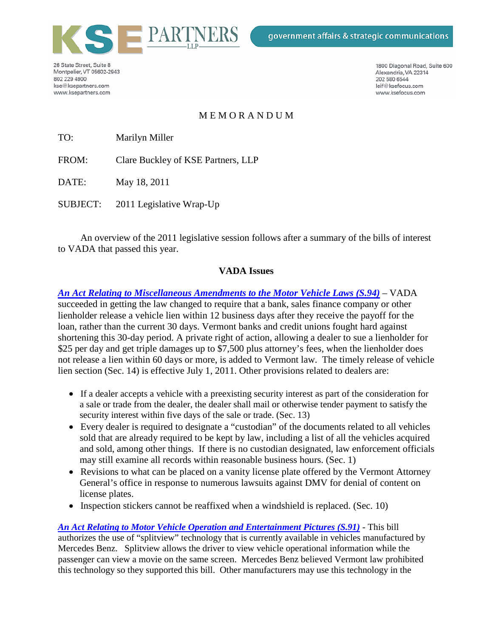

26 State Street, Suite 8 Montpelier, VT 05602-2943 802 229 4900 kse@ksepartners.com www.ksepartners.com

1800 Diagonal Road, Suite 600 Alexandria, VA 22314 202 580 6544 leif@ksefocus.com www.ksefocus.com

## M E M O R A N D U M

TO: Marilyn Miller

FROM: Clare Buckley of KSE Partners, LLP

DATE: May 18, 2011

SUBJECT: 2011 Legislative Wrap-Up

An overview of the 2011 legislative session follows after a summary of the bills of interest to VADA that passed this year.

#### **VADA Issues**

*[An Act Relating to Miscellaneous Amendments to the Motor Vehicle Laws \(S.94\)](http://www.leg.state.vt.us/docs/2012/bills/Passed/S-094.pdf)* – VADA succeeded in getting the law changed to require that a bank, sales finance company or other lienholder release a vehicle lien within 12 business days after they receive the payoff for the loan, rather than the current 30 days. Vermont banks and credit unions fought hard against shortening this 30-day period. A private right of action, allowing a dealer to sue a lienholder for \$25 per day and get triple damages up to \$7,500 plus attorney's fees, when the lienholder does not release a lien within 60 days or more, is added to Vermont law. The timely release of vehicle lien section (Sec. 14) is effective July 1, 2011. Other provisions related to dealers are:

- If a dealer accepts a vehicle with a preexisting security interest as part of the consideration for a sale or trade from the dealer, the dealer shall mail or otherwise tender payment to satisfy the security interest within five days of the sale or trade. (Sec. 13)
- Every dealer is required to designate a "custodian" of the documents related to all vehicles sold that are already required to be kept by law, including a list of all the vehicles acquired and sold, among other things. If there is no custodian designated, law enforcement officials may still examine all records within reasonable business hours. (Sec. 1)
- Revisions to what can be placed on a vanity license plate offered by the Vermont Attorney General's office in response to numerous lawsuits against DMV for denial of content on license plates.
- Inspection stickers cannot be reaffixed when a windshield is replaced. (Sec. 10)

*[An Act Relating to Motor Vehicle Operation and Entertainment Pictures \(S.91\)](http://www.leg.state.vt.us/docs/2012/bills/Passed/S-091.pdf)* - This bill authorizes the use of "splitview" technology that is currently available in vehicles manufactured by Mercedes Benz. Splitview allows the driver to view vehicle operational information while the passenger can view a movie on the same screen. Mercedes Benz believed Vermont law prohibited this technology so they supported this bill. Other manufacturers may use this technology in the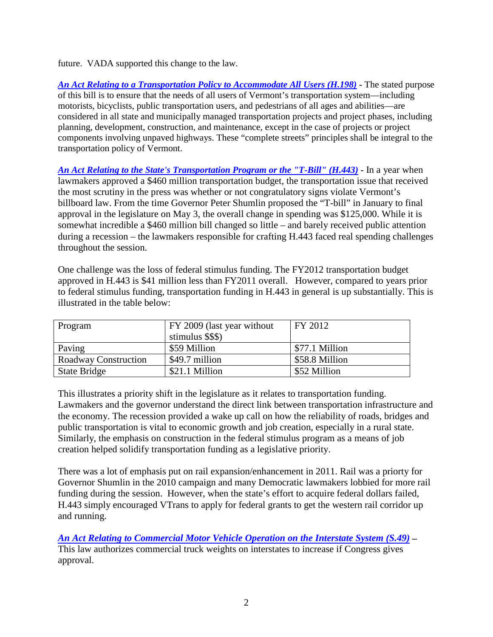future. VADA supported this change to the law.

*[An Act Relating to a Transportation Policy to Accommodate All Users \(H.198\)](http://www.leg.state.vt.us/docs/2012/bills/Passed/H-198.pdf) -* The stated purpose of this bill is to ensure that the needs of all users of Vermont's transportation system—including motorists, bicyclists, public transportation users, and pedestrians of all ages and abilities—are considered in all state and municipally managed transportation projects and project phases, including planning, development, construction, and maintenance, except in the case of projects or project components involving unpaved highways. These "complete streets" principles shall be integral to the transportation policy of Vermont.

*[An Act Relating to the State's Transportation Program or the "T-Bill" \(H.443\)](http://www.leg.state.vt.us/docs/2012/bills/Passed/H-443.pdf) -* In a year when lawmakers approved a \$460 million transportation budget, the transportation issue that received the most scrutiny in the press was whether or not congratulatory signs violate Vermont's billboard law. From the time Governor Peter Shumlin proposed the "T-bill" in January to final approval in the legislature on May 3, the overall change in spending was \$125,000. While it is somewhat incredible a \$460 million bill changed so little – and barely received public attention during a recession – the lawmakers responsible for crafting H.443 faced real spending challenges throughout the session.

One challenge was the loss of federal stimulus funding. The FY2012 transportation budget approved in H.443 is \$41 million less than FY2011 overall. However, compared to years prior to federal stimulus funding, transportation funding in H.443 in general is up substantially. This is illustrated in the table below:

| Program              | FY 2009 (last year without | FY 2012        |
|----------------------|----------------------------|----------------|
|                      | stimulus \$\$\$)           |                |
| Paving               | \$59 Million               | \$77.1 Million |
| Roadway Construction | \$49.7 million             | \$58.8 Million |
| State Bridge         | \$21.1 Million             | \$52 Million   |

This illustrates a priority shift in the legislature as it relates to transportation funding. Lawmakers and the governor understand the direct link between transportation infrastructure and the economy. The recession provided a wake up call on how the reliability of roads, bridges and public transportation is vital to economic growth and job creation, especially in a rural state. Similarly, the emphasis on construction in the federal stimulus program as a means of job creation helped solidify transportation funding as a legislative priority.

There was a lot of emphasis put on rail expansion/enhancement in 2011. Rail was a priorty for Governor Shumlin in the 2010 campaign and many Democratic lawmakers lobbied for more rail funding during the session. However, when the state's effort to acquire federal dollars failed, H.443 simply encouraged VTrans to apply for federal grants to get the western rail corridor up and running.

*[An Act Relating to Commercial Motor Vehicle Operation on the Interstate System \(S.49\)](http://www.leg.state.vt.us/docs/2012/bills/Passed/S-049.pdf) –* This law authorizes commercial truck weights on interstates to increase if Congress gives approval.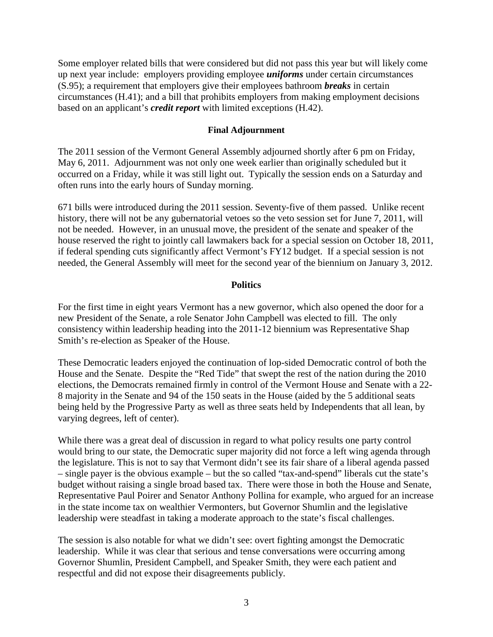Some employer related bills that were considered but did not pass this year but will likely come up next year include: employers providing employee *uniforms* under certain circumstances (S.95); a requirement that employers give their employees bathroom *breaks* in certain circumstances (H.41); and a bill that prohibits employers from making employment decisions based on an applicant's *credit report* with limited exceptions (H.42).

#### **Final Adjournment**

The 2011 session of the Vermont General Assembly adjourned shortly after 6 pm on Friday, May 6, 2011. Adjournment was not only one week earlier than originally scheduled but it occurred on a Friday, while it was still light out. Typically the session ends on a Saturday and often runs into the early hours of Sunday morning.

671 bills were introduced during the 2011 session. Seventy-five of them passed. Unlike recent history, there will not be any gubernatorial vetoes so the veto session set for June 7, 2011, will not be needed. However, in an unusual move, the president of the senate and speaker of the house reserved the right to jointly call lawmakers back for a special session on October 18, 2011, if federal spending cuts significantly affect Vermont's FY12 budget. If a special session is not needed, the General Assembly will meet for the second year of the biennium on January 3, 2012.

#### **Politics**

For the first time in eight years Vermont has a new governor, which also opened the door for a new President of the Senate, a role Senator John Campbell was elected to fill. The only consistency within leadership heading into the 2011-12 biennium was Representative Shap Smith's re-election as Speaker of the House.

These Democratic leaders enjoyed the continuation of lop-sided Democratic control of both the House and the Senate. Despite the "Red Tide" that swept the rest of the nation during the 2010 elections, the Democrats remained firmly in control of the Vermont House and Senate with a 22- 8 majority in the Senate and 94 of the 150 seats in the House (aided by the 5 additional seats being held by the Progressive Party as well as three seats held by Independents that all lean, by varying degrees, left of center).

While there was a great deal of discussion in regard to what policy results one party control would bring to our state, the Democratic super majority did not force a left wing agenda through the legislature. This is not to say that Vermont didn't see its fair share of a liberal agenda passed – single payer is the obvious example – but the so called "tax-and-spend" liberals cut the state's budget without raising a single broad based tax. There were those in both the House and Senate, Representative Paul Poirer and Senator Anthony Pollina for example, who argued for an increase in the state income tax on wealthier Vermonters, but Governor Shumlin and the legislative leadership were steadfast in taking a moderate approach to the state's fiscal challenges.

The session is also notable for what we didn't see: overt fighting amongst the Democratic leadership. While it was clear that serious and tense conversations were occurring among Governor Shumlin, President Campbell, and Speaker Smith, they were each patient and respectful and did not expose their disagreements publicly.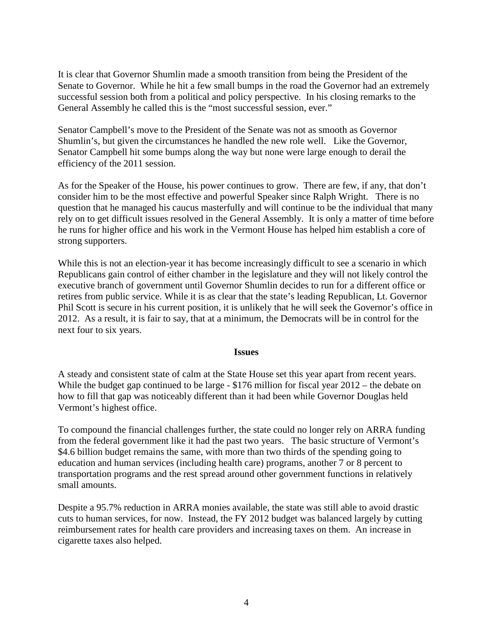It is clear that Governor Shumlin made a smooth transition from being the President of the Senate to Governor. While he hit a few small bumps in the road the Governor had an extremely successful session both from a political and policy perspective. In his closing remarks to the General Assembly he called this is the "most successful session, ever."

Senator Campbell's move to the President of the Senate was not as smooth as Governor Shumlin's, but given the circumstances he handled the new role well. Like the Governor, Senator Campbell hit some bumps along the way but none were large enough to derail the efficiency of the 2011 session.

As for the Speaker of the House, his power continues to grow. There are few, if any, that don't consider him to be the most effective and powerful Speaker since Ralph Wright. There is no question that he managed his caucus masterfully and will continue to be the individual that many rely on to get difficult issues resolved in the General Assembly. It is only a matter of time before he runs for higher office and his work in the Vermont House has helped him establish a core of strong supporters.

While this is not an election-year it has become increasingly difficult to see a scenario in which Republicans gain control of either chamber in the legislature and they will not likely control the executive branch of government until Governor Shumlin decides to run for a different office or retires from public service. While it is as clear that the state's leading Republican, Lt. Governor Phil Scott is secure in his current position, it is unlikely that he will seek the Governor's office in 2012. As a result, it is fair to say, that at a minimum, the Democrats will be in control for the next four to six years.

#### **Issues**

A steady and consistent state of calm at the State House set this year apart from recent years. While the budget gap continued to be large - \$176 million for fiscal year  $2012$  – the debate on how to fill that gap was noticeably different than it had been while Governor Douglas held Vermont's highest office.

To compound the financial challenges further, the state could no longer rely on ARRA funding from the federal government like it had the past two years. The basic structure of Vermont's \$4.6 billion budget remains the same, with more than two thirds of the spending going to education and human services (including health care) programs, another 7 or 8 percent to transportation programs and the rest spread around other government functions in relatively small amounts.

Despite a 95.7% reduction in ARRA monies available, the state was still able to avoid drastic cuts to human services, for now. Instead, the FY 2012 budget was balanced largely by cutting reimbursement rates for health care providers and increasing taxes on them. An increase in cigarette taxes also helped.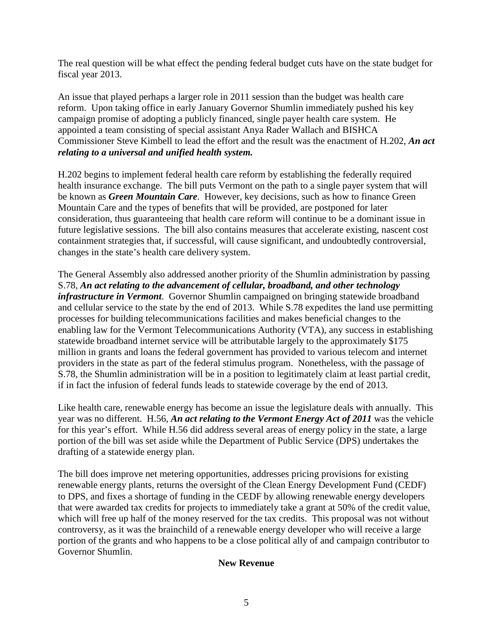The real question will be what effect the pending federal budget cuts have on the state budget for fiscal year 2013.

An issue that played perhaps a larger role in 2011 session than the budget was health care reform. Upon taking office in early January Governor Shumlin immediately pushed his key campaign promise of adopting a publicly financed, single payer health care system. He appointed a team consisting of special assistant Anya Rader Wallach and BISHCA Commissioner Steve Kimbell to lead the effort and the result was the enactment of H.202, *An act relating to a universal and unified health system.*

H.202 begins to implement federal health care reform by establishing the federally required health insurance exchange. The bill puts Vermont on the path to a single payer system that will be known as *Green Mountain Care*. However, key decisions, such as how to finance Green Mountain Care and the types of benefits that will be provided, are postponed for later consideration, thus guaranteeing that health care reform will continue to be a dominant issue in future legislative sessions. The bill also contains measures that accelerate existing, nascent cost containment strategies that, if successful, will cause significant, and undoubtedly controversial, changes in the state's health care delivery system.

The General Assembly also addressed another priority of the Shumlin administration by passing S.78, *An act relating to the advancement of cellular, broadband, and other technology infrastructure in Vermont*. Governor Shumlin campaigned on bringing statewide broadband and cellular service to the state by the end of 2013. While S.78 expedites the land use permitting processes for building telecommunications facilities and makes beneficial changes to the enabling law for the Vermont Telecommunications Authority (VTA), any success in establishing statewide broadband internet service will be attributable largely to the approximately \$175 million in grants and loans the federal government has provided to various telecom and internet providers in the state as part of the federal stimulus program. Nonetheless, with the passage of S.78, the Shumlin administration will be in a position to legitimately claim at least partial credit, if in fact the infusion of federal funds leads to statewide coverage by the end of 2013.

Like health care, renewable energy has become an issue the legislature deals with annually. This year was no different. H.56, *An act relating to the Vermont Energy Act of 2011* was the vehicle for this year's effort. While H.56 did address several areas of energy policy in the state, a large portion of the bill was set aside while the Department of Public Service (DPS) undertakes the drafting of a statewide energy plan.

The bill does improve net metering opportunities, addresses pricing provisions for existing renewable energy plants, returns the oversight of the Clean Energy Development Fund (CEDF) to DPS, and fixes a shortage of funding in the CEDF by allowing renewable energy developers that were awarded tax credits for projects to immediately take a grant at 50% of the credit value, which will free up half of the money reserved for the tax credits. This proposal was not without controversy, as it was the brainchild of a renewable energy developer who will receive a large portion of the grants and who happens to be a close political ally of and campaign contributor to Governor Shumlin.

### **New Revenue**